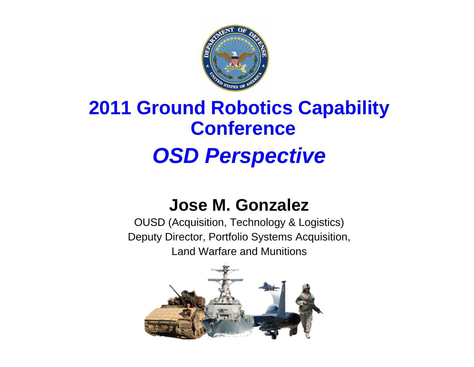

## **2011 Ground Robotics Capability Conference** *OSD Perspective*

### **Jose M. Gonzalez**

OUSD (Acquisition, Technology & Logistics) Deputy Director, Portfolio Systems Acquisition, Land Warfare and Munitions

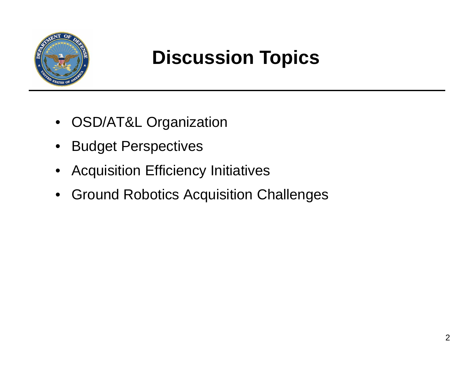

## **Discussion Topics**

- OSD/AT&L Organization
- $\bullet$ Budget Perspectives
- Acquisition Efficiency Initiatives
- Ground Robotics Acquisition Challenges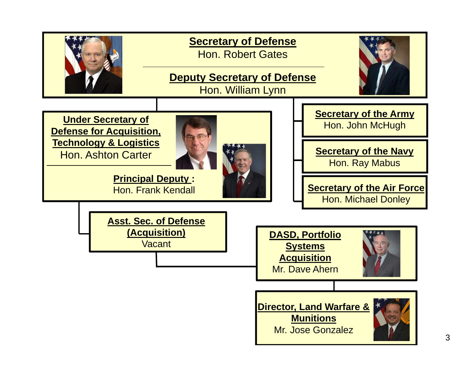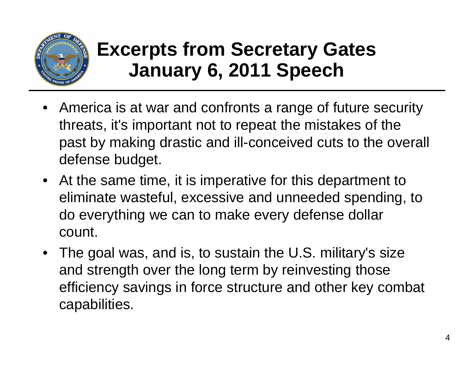

### **Excerpts from Secretary Gates January 6, 2011 Speech**

- America is at war and confronts a range of future security threats, it's important not to repeat the mistakes of the past by making drastic and ill-conceived cuts to the overall defense budget.
- At the same time, it is imperative for this department to eliminate wasteful, excessive and unneeded spending, to do everything we can to make every defense dollar count.
- The goal was, and is, to sustain the U.S. military's size and strength over the long term by reinvesting those efficiency savings in force structure and other key combat capabilities.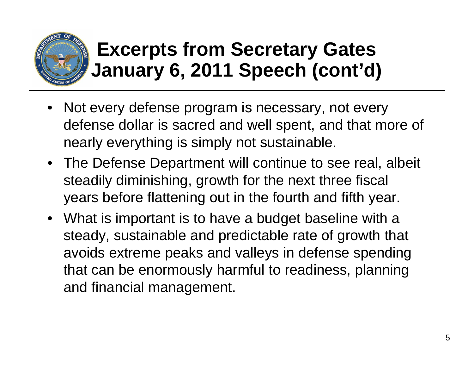

## **Excerpts from Secretary Gates January 6, 2011 Speech (cont'd)**

- • Not every defense program is necessary, not every defense dollar is sacred and well spent, and that more of nearly everything is simply not sustainable.
- The Defense Department will continue to see real, albeit steadily diminishing, growth for the next three fiscal years before flattening out in the fourth and fifth year.
- What is important is to have a budget baseline with a steady, sustainable and predictable rate of growth that avoids extreme peaks and valleys in defense spending that can be enormously harmful to readiness, planning and financial management.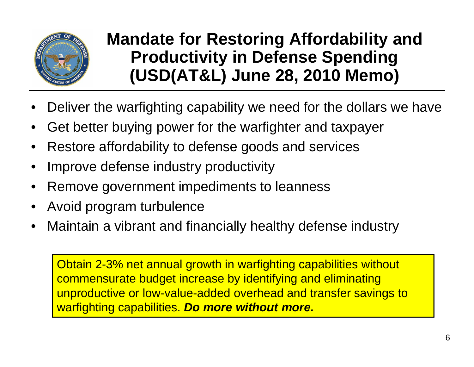

### **Mandate for Restoring Affordability and Productivity in Defense Spending (USD(AT&L) June 28, 2010 Memo)**

- •Deliver the warfighting capability we need for the dollars we have
- •Get better buying power for the warfighter and taxpayer
- •Restore affordability to defense goods and services
- •Improve defense industry productivity
- •Remove government impediments to leanness
- •Avoid program turbulence
- •Maintain a vibrant and financially healthy defense industry

Obtain 2-3% net annual growth in warfighting capabilities without commensurate budget increase by identifying and eliminating unproductive or low-value-added overhead and transfer savings to warfighting capabilities. *Do more without more.*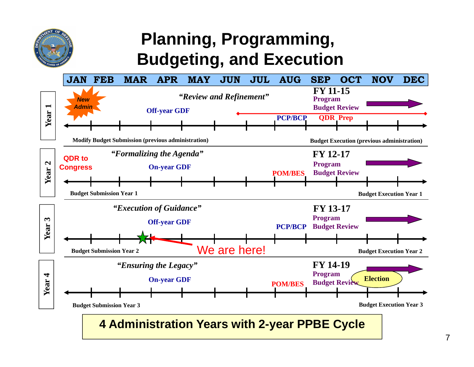

### **Planning, Programming, Budgeting, and Execution**

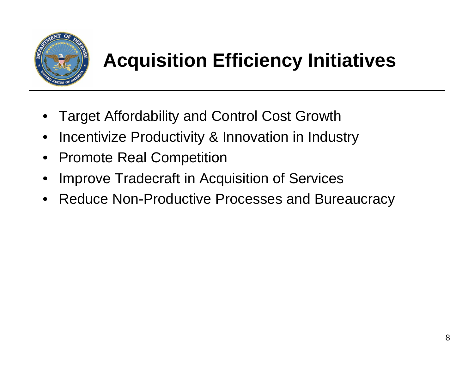

## **Acquisition Efficiency Initiatives**

- •Target Affordability and Control Cost Growth
- •Incentivize Productivity & Innovation in Industry
- Promote Real Competition
- •Improve Tradecraft in Acquisition of Services
- Reduce Non-Productive Processes and Bureaucracy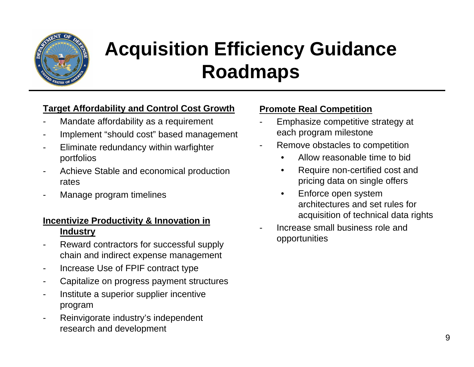

# **Acquisition Efficiency Guidance Roadmaps**

#### **Target Affordability and Control Cost Growth**

- Mandate affordability as a requirement
- Implement "should cost" based management
- Eliminate redundancy within warfighter portfolios
- Achieve Stable and economical production rates
- Manage program timelines

#### **Incentivize Productivity & Innovation in Industry**

- Reward contractors for successful supply chain and indirect expense management
- -Increase Use of FPIF contract type
- -Capitalize on progress payment structures
- Institute a superior supplier incentive program
- Reinvigorate industry's independent research and development

#### **Promote Real Competition**

- Emphasize competitive strategy at each program milestone
- Remove obstacles to competition
	- •Allow reasonable time to bid
	- • Require non-certified cost and pricing data on single offers
	- $\bullet$  Enforce open system architectures and set rules for acquisition of technical data rights
- Increase small business role and opportunities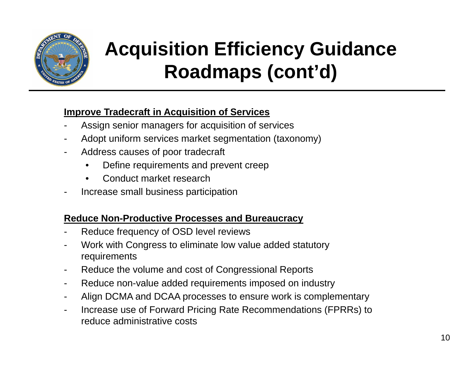

# **Acquisition Efficiency Guidance Roadmaps (cont'd)**

### **Improve Tradecraft in Acquisition of Services**

- -Assign senior managers for acquisition of services
- -Adopt uniform services market segmentation (taxonomy)
- - Address causes of poor tradecraft
	- •Define requirements and prevent creep
	- •Conduct market research
- -Increase small business participation

#### **Reduce Non-Productive Processes and Bureaucracy**

- -Reduce frequency of OSD level reviews
- - Work with Congress to eliminate low value added statutory requirements
- -Reduce the volume and cost of Congressional Reports
- -Reduce non-value added requirements imposed on industry
- -Align DCMA and DCAA processes to ensure work is complementary
- - Increase use of Forward Pricing Rate Recommendations (FPRRs) to reduce administrative costs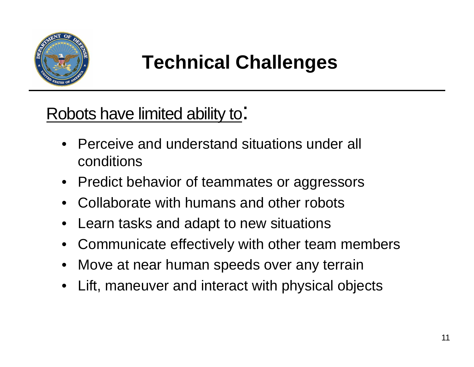

## **Technical Challenges**

Robots have limited ability to:

- • Perceive and understand situations under all conditions
- •Predict behavior of teammates or aggressors
- •Collaborate with humans and other robots
- •Learn tasks and adapt to new situations
- $\bullet$ Communicate effectively with other team members
- •Move at near human speeds over any terrain
- •Lift, maneuver and interact with physical objects